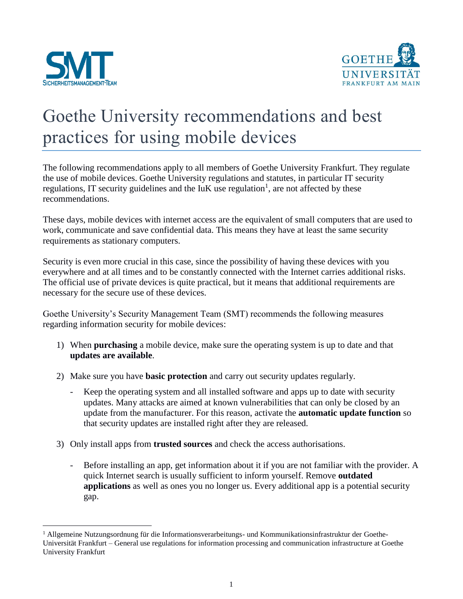

 $\overline{a}$ 



## Goethe University recommendations and best practices for using mobile devices

The following recommendations apply to all members of Goethe University Frankfurt. They regulate the use of mobile devices. Goethe University regulations and statutes, in particular IT security regulations, IT security guidelines and the  $I uK$  use regulation<sup>1</sup>, are not affected by these recommendations.

These days, mobile devices with internet access are the equivalent of small computers that are used to work, communicate and save confidential data. This means they have at least the same security requirements as stationary computers.

Security is even more crucial in this case, since the possibility of having these devices with you everywhere and at all times and to be constantly connected with the Internet carries additional risks. The official use of private devices is quite practical, but it means that additional requirements are necessary for the secure use of these devices.

Goethe University's Security Management Team (SMT) recommends the following measures regarding information security for mobile devices:

- 1) When **purchasing** a mobile device, make sure the operating system is up to date and that **updates are available**.
- 2) Make sure you have **basic protection** and carry out security updates regularly.
	- Keep the operating system and all installed software and apps up to date with security updates. Many attacks are aimed at known vulnerabilities that can only be closed by an update from the manufacturer. For this reason, activate the **automatic update function** so that security updates are installed right after they are released.
- 3) Only install apps from **trusted sources** and check the access authorisations.
	- Before installing an app, get information about it if you are not familiar with the provider. A quick Internet search is usually sufficient to inform yourself. Remove **outdated applications** as well as ones you no longer us. Every additional app is a potential security gap.

<sup>1</sup> Allgemeine Nutzungsordnung für die Informationsverarbeitungs- und Kommunikationsinfrastruktur der Goethe-Universität Frankfurt – General use regulations for information processing and communication infrastructure at Goethe University Frankfurt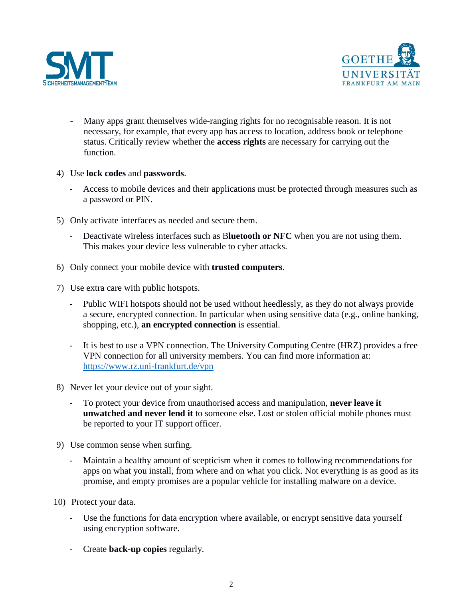



- Many apps grant themselves wide-ranging rights for no recognisable reason. It is not necessary, for example, that every app has access to location, address book or telephone status. Critically review whether the **access rights** are necessary for carrying out the function.
- 4) Use **lock codes** and **passwords**.
	- Access to mobile devices and their applications must be protected through measures such as a password or PIN.
- 5) Only activate interfaces as needed and secure them.
	- Deactivate wireless interfaces such as B**luetooth or NFC** when you are not using them. This makes your device less vulnerable to cyber attacks.
- 6) Only connect your mobile device with **trusted computers**.
- 7) Use extra care with public hotspots.
	- Public WIFI hotspots should not be used without heedlessly, as they do not always provide a secure, encrypted connection. In particular when using sensitive data (e.g., online banking, shopping, etc.), **an encrypted connection** is essential.
	- It is best to use a VPN connection. The University Computing Centre (HRZ) provides a free VPN connection for all university members. You can find more information at: <https://www.rz.uni-frankfurt.de/vpn>
- 8) Never let your device out of your sight.
	- To protect your device from unauthorised access and manipulation, **never leave it unwatched and never lend it** to someone else. Lost or stolen official mobile phones must be reported to your IT support officer.
- 9) Use common sense when surfing.
	- Maintain a healthy amount of scepticism when it comes to following recommendations for apps on what you install, from where and on what you click. Not everything is as good as its promise, and empty promises are a popular vehicle for installing malware on a device.
- 10) Protect your data.
	- Use the functions for data encryption where available, or encrypt sensitive data yourself using encryption software.
	- Create **back-up copies** regularly.